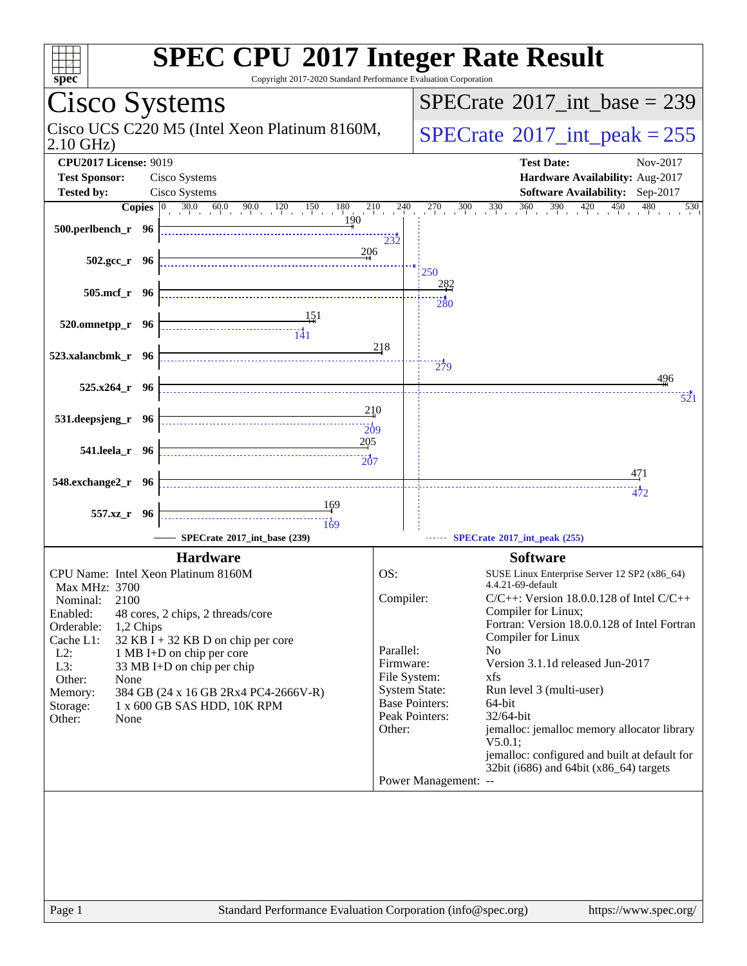| <b>SPEC CPU®2017 Integer Rate Result</b><br>Copyright 2017-2020 Standard Performance Evaluation Corporation<br>spec <sup>®</sup>                                                         |                                                                     |                                                                                                                                                              |  |  |  |  |  |
|------------------------------------------------------------------------------------------------------------------------------------------------------------------------------------------|---------------------------------------------------------------------|--------------------------------------------------------------------------------------------------------------------------------------------------------------|--|--|--|--|--|
| Cisco Systems                                                                                                                                                                            |                                                                     | $SPECrate^{\circledast}2017\_int\_base = 239$                                                                                                                |  |  |  |  |  |
| Cisco UCS C220 M5 (Intel Xeon Platinum 8160M,<br>$2.10$ GHz)                                                                                                                             |                                                                     | $SPECTate$ <sup>®</sup> 2017_int_peak = 255                                                                                                                  |  |  |  |  |  |
| <b>CPU2017 License: 9019</b><br><b>Test Sponsor:</b><br>Cisco Systems                                                                                                                    |                                                                     | <b>Test Date:</b><br>Nov-2017<br>Hardware Availability: Aug-2017                                                                                             |  |  |  |  |  |
| <b>Tested by:</b><br>Cisco Systems                                                                                                                                                       |                                                                     | Software Availability: Sep-2017                                                                                                                              |  |  |  |  |  |
| <b>Copies</b> $\begin{bmatrix} 0 & 30.0 & 60.0 & 90.0 & 120 & 150 & 180 & 210 & 240 \end{bmatrix}$<br>190<br>$500.$ perlbench_r 96                                                       | 232<br>206                                                          | $270$ $300$ $330$ $360$ $390$ $420$<br>$450$ $480$<br>530                                                                                                    |  |  |  |  |  |
| $502.\text{gcc r}$ 96                                                                                                                                                                    |                                                                     | 250                                                                                                                                                          |  |  |  |  |  |
| 505.mcf r 96                                                                                                                                                                             |                                                                     | <u> 282</u><br>$\frac{11}{280}$                                                                                                                              |  |  |  |  |  |
| 520.omnetpp_r 96<br><u>141</u><br>523.xalancbmk_r 96                                                                                                                                     | 218                                                                 |                                                                                                                                                              |  |  |  |  |  |
|                                                                                                                                                                                          |                                                                     | $\frac{11}{279}$<br>496                                                                                                                                      |  |  |  |  |  |
| $525.x264_r$ 96                                                                                                                                                                          |                                                                     | 521                                                                                                                                                          |  |  |  |  |  |
| 531.deepsjeng_r 96                                                                                                                                                                       | 210<br>$\frac{1}{209}$                                              |                                                                                                                                                              |  |  |  |  |  |
| 541.leela_r 96<br>$\overbrace{207}$                                                                                                                                                      | 205                                                                 |                                                                                                                                                              |  |  |  |  |  |
| 548.exchange2_r 96                                                                                                                                                                       |                                                                     | 471<br>472                                                                                                                                                   |  |  |  |  |  |
| <u>169</u>                                                                                                                                                                               |                                                                     |                                                                                                                                                              |  |  |  |  |  |
| 557.xz_r 96<br>169                                                                                                                                                                       |                                                                     |                                                                                                                                                              |  |  |  |  |  |
| SPECrate®2017_int_base (239)                                                                                                                                                             |                                                                     | SPECrate®2017_int_peak (255)                                                                                                                                 |  |  |  |  |  |
| <b>Hardware</b>                                                                                                                                                                          |                                                                     | <b>Software</b>                                                                                                                                              |  |  |  |  |  |
| CPU Name: Intel Xeon Platinum 8160M<br><b>Max MHz: 3700</b>                                                                                                                              | OS:                                                                 | SUSE Linux Enterprise Server 12 SP2 (x86_64)<br>4.4.21-69-default                                                                                            |  |  |  |  |  |
| 2100<br>Nominal:<br>Enabled:<br>48 cores, 2 chips, 2 threads/core<br>Orderable:<br>1,2 Chips<br>$32$ KB I + 32 KB D on chip per core<br>Cache L1:<br>$L2$ :<br>1 MB I+D on chip per core | Compiler:<br>Parallel:                                              | $C/C++$ : Version 18.0.0.128 of Intel $C/C++$<br>Compiler for Linux;<br>Fortran: Version 18.0.0.128 of Intel Fortran<br>Compiler for Linux<br>N <sub>o</sub> |  |  |  |  |  |
| L3:<br>33 MB I+D on chip per chip<br>Other:<br>None<br>384 GB (24 x 16 GB 2Rx4 PC4-2666V-R)<br>Memory:<br>1 x 600 GB SAS HDD, 10K RPM<br>Storage:                                        | Firmware:<br>File System:<br><b>System State:</b><br>Peak Pointers: | Version 3.1.1d released Jun-2017<br>xfs<br>Run level 3 (multi-user)<br><b>Base Pointers:</b><br>64-bit<br>32/64-bit                                          |  |  |  |  |  |
| Other:<br>None                                                                                                                                                                           | Other:                                                              | jemalloc: jemalloc memory allocator library<br>$V5.0.1$ ;<br>jemalloc: configured and built at default for<br>32bit (i686) and 64bit (x86_64) targets        |  |  |  |  |  |
|                                                                                                                                                                                          |                                                                     | Power Management: --                                                                                                                                         |  |  |  |  |  |
|                                                                                                                                                                                          |                                                                     |                                                                                                                                                              |  |  |  |  |  |
| Standard Performance Evaluation Corporation (info@spec.org)<br>Page 1                                                                                                                    |                                                                     | https://www.spec.org/                                                                                                                                        |  |  |  |  |  |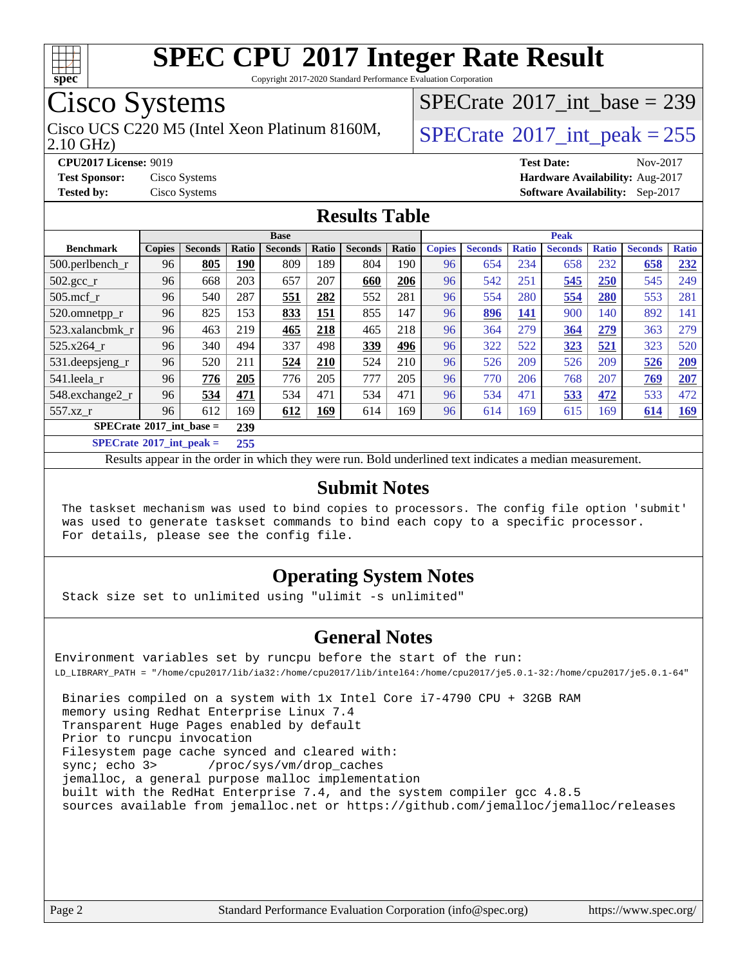

Copyright 2017-2020 Standard Performance Evaluation Corporation

### Cisco Systems

2.10 GHz) Cisco UCS C220 M5 (Intel Xeon Platinum 8160M,  $\big|$  [SPECrate](http://www.spec.org/auto/cpu2017/Docs/result-fields.html#SPECrate2017intpeak)®[2017\\_int\\_peak = 2](http://www.spec.org/auto/cpu2017/Docs/result-fields.html#SPECrate2017intpeak)55

 $SPECTate@2017_int\_base = 239$ 

**[CPU2017 License:](http://www.spec.org/auto/cpu2017/Docs/result-fields.html#CPU2017License)** 9019 **[Test Date:](http://www.spec.org/auto/cpu2017/Docs/result-fields.html#TestDate)** Nov-2017 **[Test Sponsor:](http://www.spec.org/auto/cpu2017/Docs/result-fields.html#TestSponsor)** Cisco Systems **[Hardware Availability:](http://www.spec.org/auto/cpu2017/Docs/result-fields.html#HardwareAvailability)** Aug-2017 **[Tested by:](http://www.spec.org/auto/cpu2017/Docs/result-fields.html#Testedby)** Cisco Systems **[Software Availability:](http://www.spec.org/auto/cpu2017/Docs/result-fields.html#SoftwareAvailability)** Sep-2017

#### **[Results Table](http://www.spec.org/auto/cpu2017/Docs/result-fields.html#ResultsTable)**

|                                                   | <b>Base</b>   |                |       |                |       | <b>Peak</b>    |       |               |                |              |                |              |                |              |
|---------------------------------------------------|---------------|----------------|-------|----------------|-------|----------------|-------|---------------|----------------|--------------|----------------|--------------|----------------|--------------|
| <b>Benchmark</b>                                  | <b>Copies</b> | <b>Seconds</b> | Ratio | <b>Seconds</b> | Ratio | <b>Seconds</b> | Ratio | <b>Copies</b> | <b>Seconds</b> | <b>Ratio</b> | <b>Seconds</b> | <b>Ratio</b> | <b>Seconds</b> | <b>Ratio</b> |
| 500.perlbench_r                                   | 96            | 805            | 190   | 809            | 189   | 804            | 190   | 96            | 654            | 234          | 658            | 232          | 658            | 232          |
| 502.gcc_r                                         | 96            | 668            | 203   | 657            | 207   | 660            | 206   | 96            | 542            | 251          | 545            | 250          | 545            | 249          |
| $505$ .mcf r                                      | 96            | 540            | 287   | 551            | 282   | 552            | 281   | 96            | 554            | 280          | 554            | 280          | 553            | 281          |
| 520.omnetpp_r                                     | 96            | 825            | 153   | 833            | 151   | 855            | 147   | 96            | 896            | 141          | 900            | 140          | 892            | 141          |
| 523.xalancbmk_r                                   | 96            | 463            | 219   | 465            | 218   | 465            | 218   | 96            | 364            | 279          | 364            | 279          | 363            | 279          |
| 525.x264 r                                        | 96            | 340            | 494   | 337            | 498   | 339            | 496   | 96            | 322            | 522          | 323            | 521          | 323            | 520          |
| 531.deepsjeng_r                                   | 96            | 520            | 211   | 524            | 210   | 524            | 210   | 96            | 526            | 209          | 526            | 209          | 526            | 209          |
| 541.leela r                                       | 96            | 776            | 205   | 776            | 205   | 777            | 205   | 96            | 770            | 206          | 768            | 207          | 769            | 207          |
| 548.exchange2_r                                   | 96            | 534            | 471   | 534            | 471   | 534            | 471   | 96            | 534            | 471          | 533            | 472          | 533            | 472          |
| 557.xz r                                          | 96            | 612            | 169   | 612            | 169   | 614            | 169   | 96            | 614            | 169          | 615            | 169          | 614            | <u>169</u>   |
| $SPECrate^{\circledcirc}2017$ int base =          |               |                | 239   |                |       |                |       |               |                |              |                |              |                |              |
| $CDFC_{\text{sub-1}} \otimes 0.017$ intervals $=$ |               |                | 255   |                |       |                |       |               |                |              |                |              |                |              |

**[SPECrate](http://www.spec.org/auto/cpu2017/Docs/result-fields.html#SPECrate2017intpeak)[2017\\_int\\_peak =](http://www.spec.org/auto/cpu2017/Docs/result-fields.html#SPECrate2017intpeak) 255**

Results appear in the [order in which they were run](http://www.spec.org/auto/cpu2017/Docs/result-fields.html#RunOrder). Bold underlined text [indicates a median measurement](http://www.spec.org/auto/cpu2017/Docs/result-fields.html#Median).

#### **[Submit Notes](http://www.spec.org/auto/cpu2017/Docs/result-fields.html#SubmitNotes)**

 The taskset mechanism was used to bind copies to processors. The config file option 'submit' was used to generate taskset commands to bind each copy to a specific processor. For details, please see the config file.

### **[Operating System Notes](http://www.spec.org/auto/cpu2017/Docs/result-fields.html#OperatingSystemNotes)**

Stack size set to unlimited using "ulimit -s unlimited"

#### **[General Notes](http://www.spec.org/auto/cpu2017/Docs/result-fields.html#GeneralNotes)**

Environment variables set by runcpu before the start of the run: LD\_LIBRARY\_PATH = "/home/cpu2017/lib/ia32:/home/cpu2017/lib/intel64:/home/cpu2017/je5.0.1-32:/home/cpu2017/je5.0.1-64"

 Binaries compiled on a system with 1x Intel Core i7-4790 CPU + 32GB RAM memory using Redhat Enterprise Linux 7.4 Transparent Huge Pages enabled by default Prior to runcpu invocation Filesystem page cache synced and cleared with: sync; echo 3> /proc/sys/vm/drop\_caches jemalloc, a general purpose malloc implementation built with the RedHat Enterprise 7.4, and the system compiler gcc 4.8.5 sources available from jemalloc.net or <https://github.com/jemalloc/jemalloc/releases>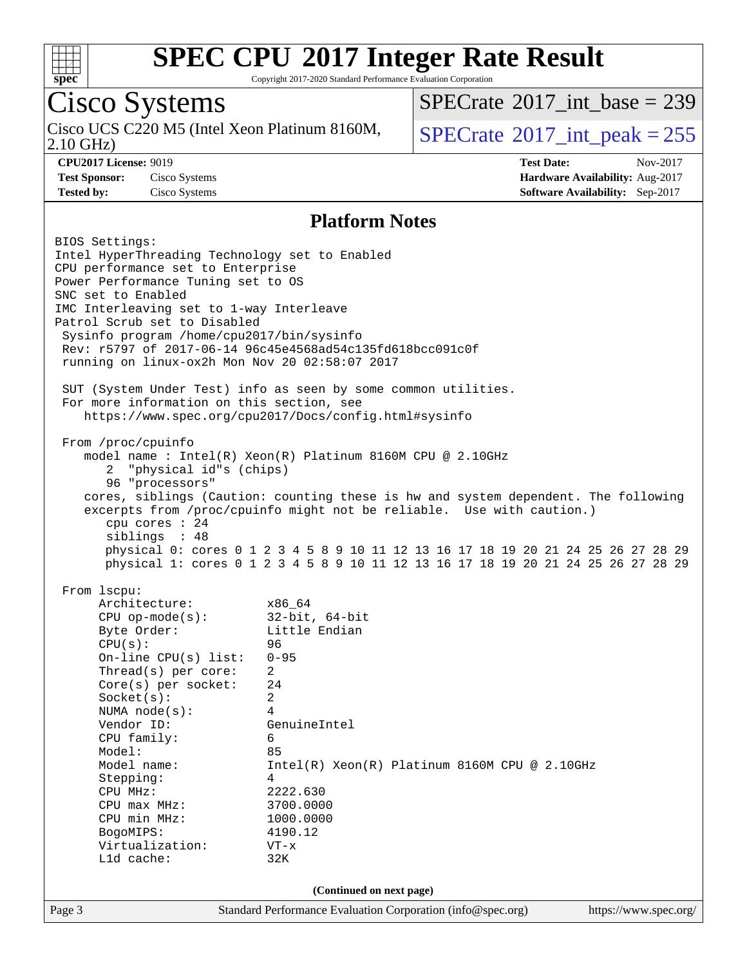

Copyright 2017-2020 Standard Performance Evaluation Corporation

## Cisco Systems

2.10 GHz) Cisco UCS C220 M5 (Intel Xeon Platinum 8160M,  $SPECrate^{\circ}2017\_int\_peak = 255$  $SPECrate^{\circ}2017\_int\_peak = 255$ 

 $SPECTate$ <sup>®</sup>[2017\\_int\\_base =](http://www.spec.org/auto/cpu2017/Docs/result-fields.html#SPECrate2017intbase) 239

**[CPU2017 License:](http://www.spec.org/auto/cpu2017/Docs/result-fields.html#CPU2017License)** 9019 **[Test Date:](http://www.spec.org/auto/cpu2017/Docs/result-fields.html#TestDate)** Nov-2017 **[Test Sponsor:](http://www.spec.org/auto/cpu2017/Docs/result-fields.html#TestSponsor)** Cisco Systems **[Hardware Availability:](http://www.spec.org/auto/cpu2017/Docs/result-fields.html#HardwareAvailability)** Aug-2017 **[Tested by:](http://www.spec.org/auto/cpu2017/Docs/result-fields.html#Testedby)** Cisco Systems **[Software Availability:](http://www.spec.org/auto/cpu2017/Docs/result-fields.html#SoftwareAvailability)** Sep-2017

#### **[Platform Notes](http://www.spec.org/auto/cpu2017/Docs/result-fields.html#PlatformNotes)**

Page 3 Standard Performance Evaluation Corporation [\(info@spec.org\)](mailto:info@spec.org) <https://www.spec.org/> BIOS Settings: Intel HyperThreading Technology set to Enabled CPU performance set to Enterprise Power Performance Tuning set to OS SNC set to Enabled IMC Interleaving set to 1-way Interleave Patrol Scrub set to Disabled Sysinfo program /home/cpu2017/bin/sysinfo Rev: r5797 of 2017-06-14 96c45e4568ad54c135fd618bcc091c0f running on linux-ox2h Mon Nov 20 02:58:07 2017 SUT (System Under Test) info as seen by some common utilities. For more information on this section, see <https://www.spec.org/cpu2017/Docs/config.html#sysinfo> From /proc/cpuinfo model name : Intel(R) Xeon(R) Platinum 8160M CPU @ 2.10GHz 2 "physical id"s (chips) 96 "processors" cores, siblings (Caution: counting these is hw and system dependent. The following excerpts from /proc/cpuinfo might not be reliable. Use with caution.) cpu cores : 24 siblings : 48 physical 0: cores 0 1 2 3 4 5 8 9 10 11 12 13 16 17 18 19 20 21 24 25 26 27 28 29 physical 1: cores 0 1 2 3 4 5 8 9 10 11 12 13 16 17 18 19 20 21 24 25 26 27 28 29 From lscpu: Architecture: x86\_64<br>
CPU op-mode(s): 32-bit, 64-bit CPU op-mode $(s):$ Byte Order: Little Endian CPU(s): 96 On-line CPU(s) list: 0-95 Thread(s) per core: 2 Core(s) per socket: 24 Socket(s): 2 NUMA node(s): 4 Vendor ID: GenuineIntel CPU family: 6 Model: 85 Model name: Intel(R) Xeon(R) Platinum 8160M CPU @ 2.10GHz Stepping: 4 CPU MHz: 2222.630 CPU max MHz: 3700.0000 CPU min MHz: 1000.0000 BogoMIPS: 4190.12 Virtualization: VT-x L1d cache: 32K **(Continued on next page)**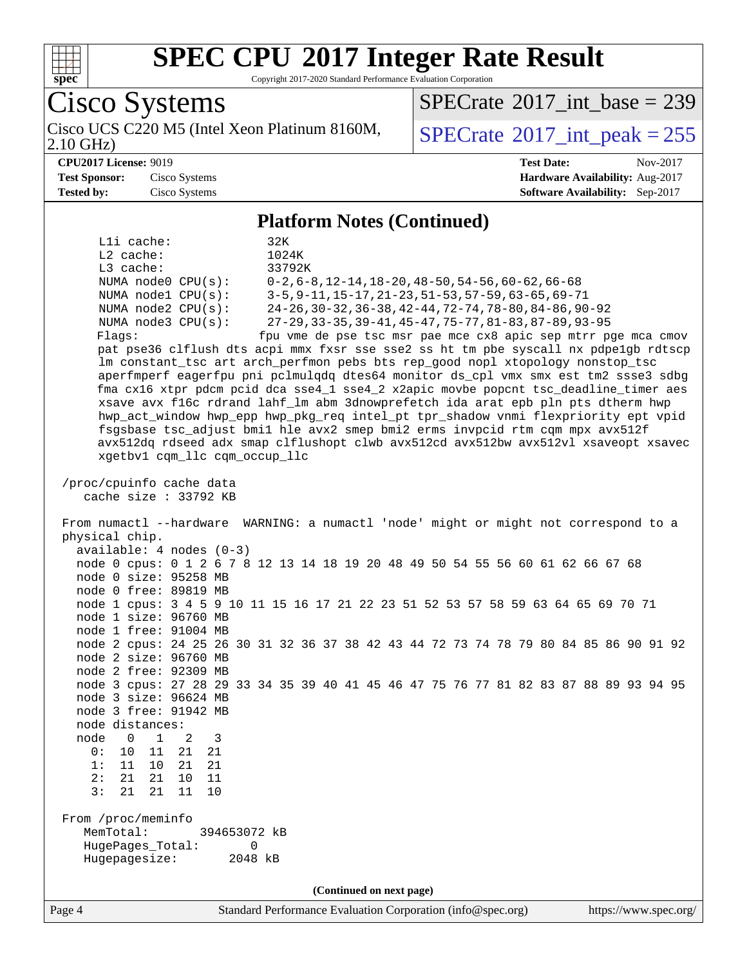

Copyright 2017-2020 Standard Performance Evaluation Corporation

Cisco Systems 2.10 GHz) Cisco UCS C220 M5 (Intel Xeon Platinum 8160M,  $SPECrate^{\circ}2017\_int\_peak = 255$  $SPECrate^{\circ}2017\_int\_peak = 255$  $SPECTate$ <sup>®</sup>[2017\\_int\\_base =](http://www.spec.org/auto/cpu2017/Docs/result-fields.html#SPECrate2017intbase) 239 **[CPU2017 License:](http://www.spec.org/auto/cpu2017/Docs/result-fields.html#CPU2017License)** 9019 **[Test Date:](http://www.spec.org/auto/cpu2017/Docs/result-fields.html#TestDate)** Nov-2017 **[Test Sponsor:](http://www.spec.org/auto/cpu2017/Docs/result-fields.html#TestSponsor)** Cisco Systems **[Hardware Availability:](http://www.spec.org/auto/cpu2017/Docs/result-fields.html#HardwareAvailability)** Aug-2017 **[Tested by:](http://www.spec.org/auto/cpu2017/Docs/result-fields.html#Testedby)** Cisco Systems **[Software Availability:](http://www.spec.org/auto/cpu2017/Docs/result-fields.html#SoftwareAvailability)** Sep-2017 **[Platform Notes \(Continued\)](http://www.spec.org/auto/cpu2017/Docs/result-fields.html#PlatformNotes)** L1i cache: 32K L2 cache: 1024K L3 cache: 33792K NUMA node0 CPU(s): 0-2,6-8,12-14,18-20,48-50,54-56,60-62,66-68 NUMA node1 CPU(s): 3-5,9-11,15-17,21-23,51-53,57-59,63-65,69-71 NUMA node2 CPU(s): 24-26,30-32,36-38,42-44,72-74,78-80,84-86,90-92 NUMA node3 CPU(s): 27-29,33-35,39-41,45-47,75-77,81-83,87-89,93-95 Flags: fpu vme de pse tsc msr pae mce cx8 apic sep mtrr pge mca cmov pat pse36 clflush dts acpi mmx fxsr sse sse2 ss ht tm pbe syscall nx pdpe1gb rdtscp lm constant\_tsc art arch\_perfmon pebs bts rep\_good nopl xtopology nonstop\_tsc aperfmperf eagerfpu pni pclmulqdq dtes64 monitor ds\_cpl vmx smx est tm2 ssse3 sdbg fma cx16 xtpr pdcm pcid dca sse4\_1 sse4\_2 x2apic movbe popcnt tsc\_deadline\_timer aes xsave avx f16c rdrand lahf\_lm abm 3dnowprefetch ida arat epb pln pts dtherm hwp hwp\_act\_window hwp\_epp hwp\_pkg\_req intel\_pt tpr\_shadow vnmi flexpriority ept vpid fsgsbase tsc\_adjust bmi1 hle avx2 smep bmi2 erms invpcid rtm cqm mpx avx512f avx512dq rdseed adx smap clflushopt clwb avx512cd avx512bw avx512vl xsaveopt xsavec xgetbv1 cqm\_llc cqm\_occup\_llc /proc/cpuinfo cache data cache size : 33792 KB From numactl --hardware WARNING: a numactl 'node' might or might not correspond to a physical chip. available: 4 nodes (0-3) node 0 cpus: 0 1 2 6 7 8 12 13 14 18 19 20 48 49 50 54 55 56 60 61 62 66 67 68 node 0 size: 95258 MB node 0 free: 89819 MB node 1 cpus: 3 4 5 9 10 11 15 16 17 21 22 23 51 52 53 57 58 59 63 64 65 69 70 71 node 1 size: 96760 MB node 1 free: 91004 MB node 2 cpus: 24 25 26 30 31 32 36 37 38 42 43 44 72 73 74 78 79 80 84 85 86 90 91 92 node 2 size: 96760 MB node 2 free: 92309 MB node 3 cpus: 27 28 29 33 34 35 39 40 41 45 46 47 75 76 77 81 82 83 87 88 89 93 94 95 node 3 size: 96624 MB node 3 free: 91942 MB node distances: node 0 1 2 3 0: 10 11 21 21 1: 11 10 21 21 2: 21 21 10 11 3: 21 21 11 10 From /proc/meminfo MemTotal: 394653072 kB HugePages\_Total: 0 Hugepagesize: 2048 kB **(Continued on next page)**

Page 4 Standard Performance Evaluation Corporation [\(info@spec.org\)](mailto:info@spec.org) <https://www.spec.org/>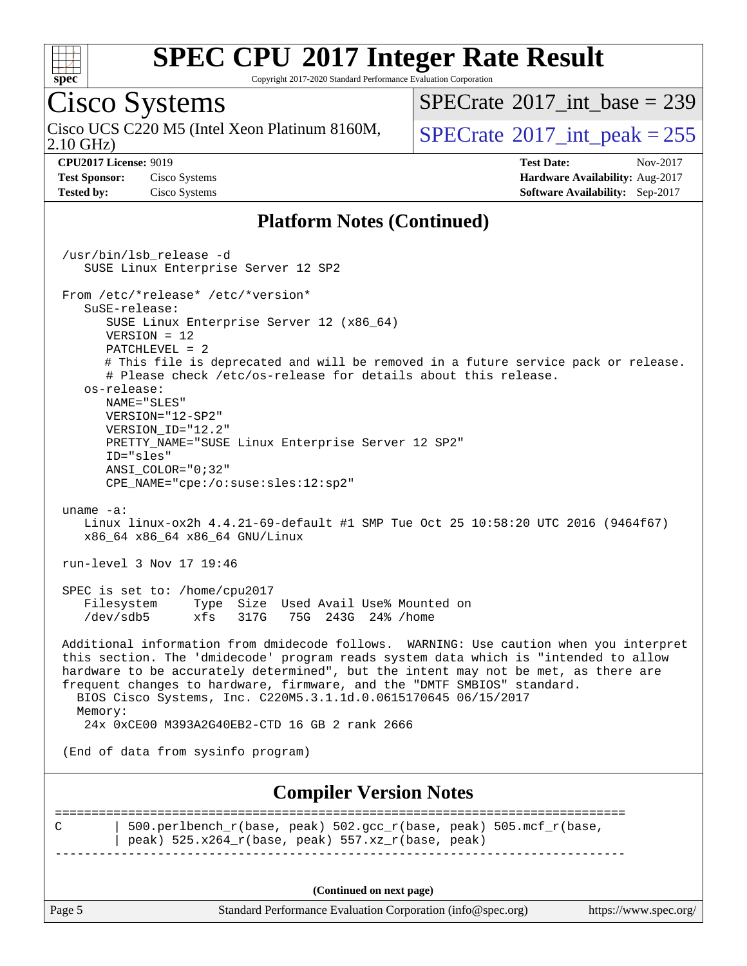

Copyright 2017-2020 Standard Performance Evaluation Corporation

## Cisco Systems

2.10 GHz) Cisco UCS C220 M5 (Intel Xeon Platinum 8160M,  $SPECrate^{\circ}2017\_int\_peak = 255$  $SPECrate^{\circ}2017\_int\_peak = 255$ 

 $SPECrate$ <sup>®</sup>[2017\\_int\\_base =](http://www.spec.org/auto/cpu2017/Docs/result-fields.html#SPECrate2017intbase) 239

**[CPU2017 License:](http://www.spec.org/auto/cpu2017/Docs/result-fields.html#CPU2017License)** 9019 **[Test Date:](http://www.spec.org/auto/cpu2017/Docs/result-fields.html#TestDate)** Nov-2017 **[Test Sponsor:](http://www.spec.org/auto/cpu2017/Docs/result-fields.html#TestSponsor)** Cisco Systems **[Hardware Availability:](http://www.spec.org/auto/cpu2017/Docs/result-fields.html#HardwareAvailability)** Aug-2017 **[Tested by:](http://www.spec.org/auto/cpu2017/Docs/result-fields.html#Testedby)** Cisco Systems **[Software Availability:](http://www.spec.org/auto/cpu2017/Docs/result-fields.html#SoftwareAvailability)** Sep-2017

#### **[Platform Notes \(Continued\)](http://www.spec.org/auto/cpu2017/Docs/result-fields.html#PlatformNotes)**

Page 5 Standard Performance Evaluation Corporation [\(info@spec.org\)](mailto:info@spec.org) <https://www.spec.org/> /usr/bin/lsb\_release -d SUSE Linux Enterprise Server 12 SP2 From /etc/\*release\* /etc/\*version\* SuSE-release: SUSE Linux Enterprise Server 12 (x86\_64) VERSION = 12 PATCHLEVEL = 2 # This file is deprecated and will be removed in a future service pack or release. # Please check /etc/os-release for details about this release. os-release: NAME="SLES" VERSION="12-SP2" VERSION\_ID="12.2" PRETTY\_NAME="SUSE Linux Enterprise Server 12 SP2" ID="sles" ANSI\_COLOR="0;32" CPE\_NAME="cpe:/o:suse:sles:12:sp2" uname -a: Linux linux-ox2h 4.4.21-69-default #1 SMP Tue Oct 25 10:58:20 UTC 2016 (9464f67) x86\_64 x86\_64 x86\_64 GNU/Linux run-level 3 Nov 17 19:46 SPEC is set to: /home/cpu2017<br>Filesystem Type Size Type Size Used Avail Use% Mounted on /dev/sdb5 xfs 317G 75G 243G 24% /home Additional information from dmidecode follows. WARNING: Use caution when you interpret this section. The 'dmidecode' program reads system data which is "intended to allow hardware to be accurately determined", but the intent may not be met, as there are frequent changes to hardware, firmware, and the "DMTF SMBIOS" standard. BIOS Cisco Systems, Inc. C220M5.3.1.1d.0.0615170645 06/15/2017 Memory: 24x 0xCE00 M393A2G40EB2-CTD 16 GB 2 rank 2666 (End of data from sysinfo program) **[Compiler Version Notes](http://www.spec.org/auto/cpu2017/Docs/result-fields.html#CompilerVersionNotes)** ============================================================================== C | 500.perlbench\_r(base, peak) 502.gcc\_r(base, peak) 505.mcf\_r(base, | peak)  $525.x264_r(base, peak) 557.xz_r(base, peak)$ ------------------------------------------------------------------------------ **(Continued on next page)**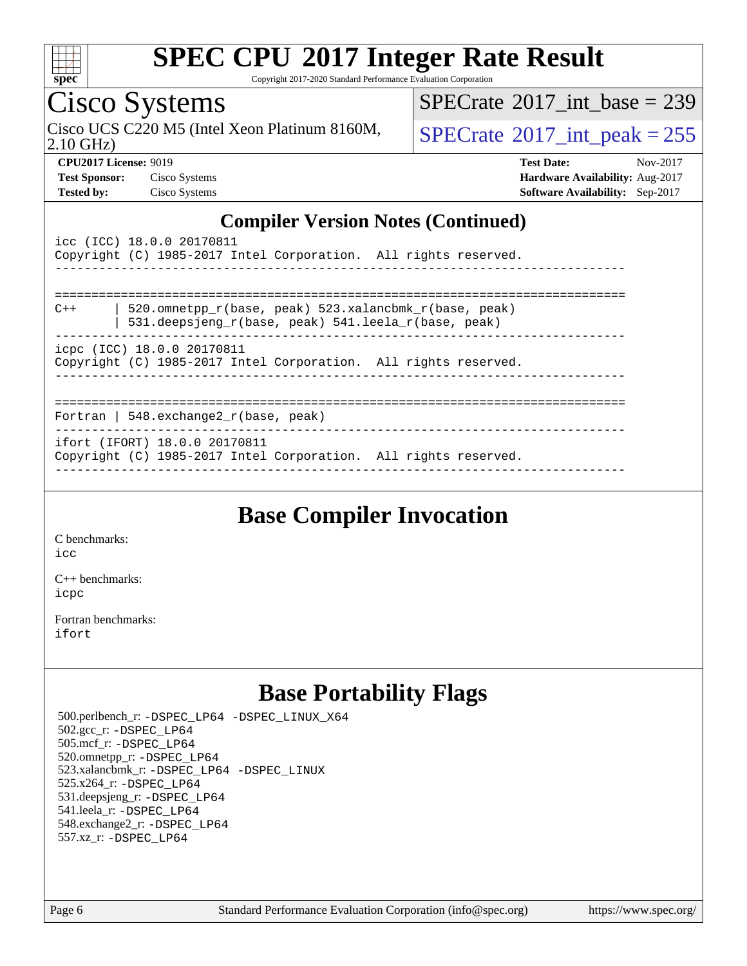

Copyright 2017-2020 Standard Performance Evaluation Corporation

## Cisco Systems

2.10 GHz) Cisco UCS C220 M5 (Intel Xeon Platinum 8160M,  $SPECrate^{\circ}2017\_int\_peak = 255$  $SPECrate^{\circ}2017\_int\_peak = 255$ 

 $SPECTate@2017_int\_base = 239$ 

**[CPU2017 License:](http://www.spec.org/auto/cpu2017/Docs/result-fields.html#CPU2017License)** 9019 **[Test Date:](http://www.spec.org/auto/cpu2017/Docs/result-fields.html#TestDate)** Nov-2017 **[Test Sponsor:](http://www.spec.org/auto/cpu2017/Docs/result-fields.html#TestSponsor)** Cisco Systems **[Hardware Availability:](http://www.spec.org/auto/cpu2017/Docs/result-fields.html#HardwareAvailability)** Aug-2017 **[Tested by:](http://www.spec.org/auto/cpu2017/Docs/result-fields.html#Testedby)** Cisco Systems **[Software Availability:](http://www.spec.org/auto/cpu2017/Docs/result-fields.html#SoftwareAvailability)** Sep-2017

#### **[Compiler Version Notes \(Continued\)](http://www.spec.org/auto/cpu2017/Docs/result-fields.html#CompilerVersionNotes)**

| icc (ICC) 18.0.0 20170811<br>Copyright (C) 1985-2017 Intel Corporation. All rights reserved.                          |
|-----------------------------------------------------------------------------------------------------------------------|
|                                                                                                                       |
| 520.omnetpp r(base, peak) 523.xalancbmk r(base, peak)<br>$C++$<br>531.deepsjeng_r(base, peak) 541.leela_r(base, peak) |
| icpc (ICC) 18.0.0 20170811<br>Copyright (C) 1985-2017 Intel Corporation. All rights reserved.                         |
|                                                                                                                       |
| Fortran   548. $exchange2 r(base, peak)$                                                                              |
| ifort (IFORT) 18.0.0 20170811<br>Copyright (C) 1985-2017 Intel Corporation. All rights reserved.                      |
|                                                                                                                       |

### **[Base Compiler Invocation](http://www.spec.org/auto/cpu2017/Docs/result-fields.html#BaseCompilerInvocation)**

[C benchmarks](http://www.spec.org/auto/cpu2017/Docs/result-fields.html#Cbenchmarks): [icc](http://www.spec.org/cpu2017/results/res2017q4/cpu2017-20171128-01142.flags.html#user_CCbase_intel_icc_18.0_66fc1ee009f7361af1fbd72ca7dcefbb700085f36577c54f309893dd4ec40d12360134090235512931783d35fd58c0460139e722d5067c5574d8eaf2b3e37e92)

[C++ benchmarks:](http://www.spec.org/auto/cpu2017/Docs/result-fields.html#CXXbenchmarks) [icpc](http://www.spec.org/cpu2017/results/res2017q4/cpu2017-20171128-01142.flags.html#user_CXXbase_intel_icpc_18.0_c510b6838c7f56d33e37e94d029a35b4a7bccf4766a728ee175e80a419847e808290a9b78be685c44ab727ea267ec2f070ec5dc83b407c0218cded6866a35d07)

[Fortran benchmarks](http://www.spec.org/auto/cpu2017/Docs/result-fields.html#Fortranbenchmarks): [ifort](http://www.spec.org/cpu2017/results/res2017q4/cpu2017-20171128-01142.flags.html#user_FCbase_intel_ifort_18.0_8111460550e3ca792625aed983ce982f94888b8b503583aa7ba2b8303487b4d8a21a13e7191a45c5fd58ff318f48f9492884d4413fa793fd88dd292cad7027ca)

### **[Base Portability Flags](http://www.spec.org/auto/cpu2017/Docs/result-fields.html#BasePortabilityFlags)**

 500.perlbench\_r: [-DSPEC\\_LP64](http://www.spec.org/cpu2017/results/res2017q4/cpu2017-20171128-01142.flags.html#b500.perlbench_r_basePORTABILITY_DSPEC_LP64) [-DSPEC\\_LINUX\\_X64](http://www.spec.org/cpu2017/results/res2017q4/cpu2017-20171128-01142.flags.html#b500.perlbench_r_baseCPORTABILITY_DSPEC_LINUX_X64) 502.gcc\_r: [-DSPEC\\_LP64](http://www.spec.org/cpu2017/results/res2017q4/cpu2017-20171128-01142.flags.html#suite_basePORTABILITY502_gcc_r_DSPEC_LP64) 505.mcf\_r: [-DSPEC\\_LP64](http://www.spec.org/cpu2017/results/res2017q4/cpu2017-20171128-01142.flags.html#suite_basePORTABILITY505_mcf_r_DSPEC_LP64) 520.omnetpp\_r: [-DSPEC\\_LP64](http://www.spec.org/cpu2017/results/res2017q4/cpu2017-20171128-01142.flags.html#suite_basePORTABILITY520_omnetpp_r_DSPEC_LP64) 523.xalancbmk\_r: [-DSPEC\\_LP64](http://www.spec.org/cpu2017/results/res2017q4/cpu2017-20171128-01142.flags.html#suite_basePORTABILITY523_xalancbmk_r_DSPEC_LP64) [-DSPEC\\_LINUX](http://www.spec.org/cpu2017/results/res2017q4/cpu2017-20171128-01142.flags.html#b523.xalancbmk_r_baseCXXPORTABILITY_DSPEC_LINUX) 525.x264\_r: [-DSPEC\\_LP64](http://www.spec.org/cpu2017/results/res2017q4/cpu2017-20171128-01142.flags.html#suite_basePORTABILITY525_x264_r_DSPEC_LP64) 531.deepsjeng\_r: [-DSPEC\\_LP64](http://www.spec.org/cpu2017/results/res2017q4/cpu2017-20171128-01142.flags.html#suite_basePORTABILITY531_deepsjeng_r_DSPEC_LP64) 541.leela\_r: [-DSPEC\\_LP64](http://www.spec.org/cpu2017/results/res2017q4/cpu2017-20171128-01142.flags.html#suite_basePORTABILITY541_leela_r_DSPEC_LP64) 548.exchange2\_r: [-DSPEC\\_LP64](http://www.spec.org/cpu2017/results/res2017q4/cpu2017-20171128-01142.flags.html#suite_basePORTABILITY548_exchange2_r_DSPEC_LP64) 557.xz\_r: [-DSPEC\\_LP64](http://www.spec.org/cpu2017/results/res2017q4/cpu2017-20171128-01142.flags.html#suite_basePORTABILITY557_xz_r_DSPEC_LP64)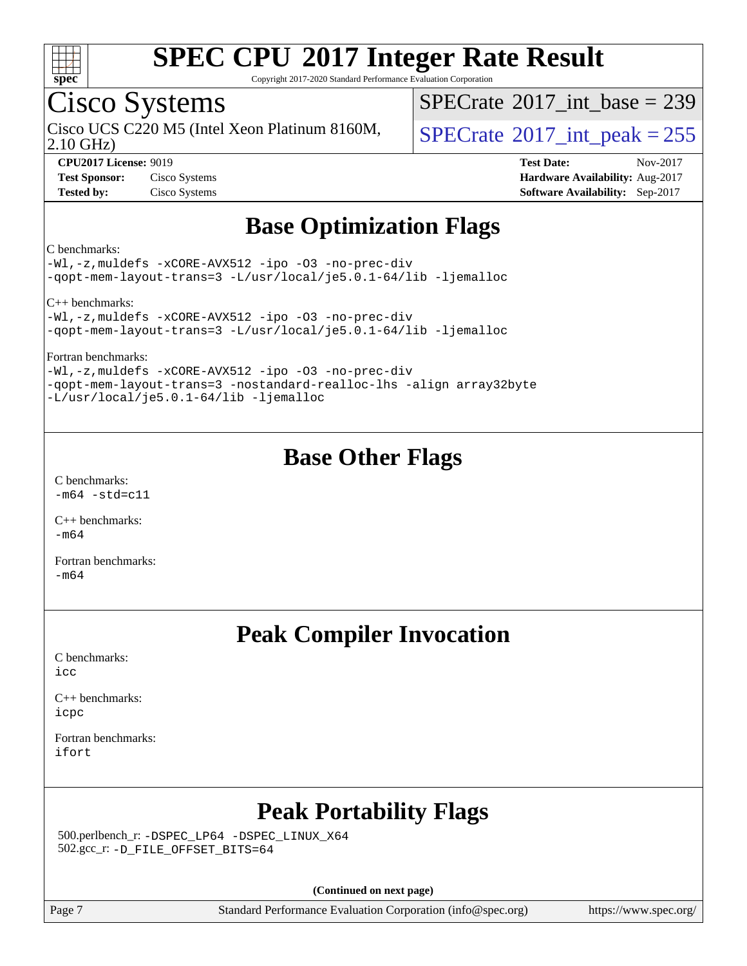

Copyright 2017-2020 Standard Performance Evaluation Corporation

### Cisco Systems

2.10 GHz) Cisco UCS C220 M5 (Intel Xeon Platinum 8160M,  $\big|$  [SPECrate](http://www.spec.org/auto/cpu2017/Docs/result-fields.html#SPECrate2017intpeak)<sup>®</sup>[2017\\_int\\_peak = 2](http://www.spec.org/auto/cpu2017/Docs/result-fields.html#SPECrate2017intpeak)55

 $SPECTate@2017_int\_base = 239$ 

**[CPU2017 License:](http://www.spec.org/auto/cpu2017/Docs/result-fields.html#CPU2017License)** 9019 **[Test Date:](http://www.spec.org/auto/cpu2017/Docs/result-fields.html#TestDate)** Nov-2017 **[Test Sponsor:](http://www.spec.org/auto/cpu2017/Docs/result-fields.html#TestSponsor)** Cisco Systems **[Hardware Availability:](http://www.spec.org/auto/cpu2017/Docs/result-fields.html#HardwareAvailability)** Aug-2017 **[Tested by:](http://www.spec.org/auto/cpu2017/Docs/result-fields.html#Testedby)** Cisco Systems **[Software Availability:](http://www.spec.org/auto/cpu2017/Docs/result-fields.html#SoftwareAvailability)** Sep-2017

### **[Base Optimization Flags](http://www.spec.org/auto/cpu2017/Docs/result-fields.html#BaseOptimizationFlags)**

#### [C benchmarks:](http://www.spec.org/auto/cpu2017/Docs/result-fields.html#Cbenchmarks)

[-Wl,-z,muldefs](http://www.spec.org/cpu2017/results/res2017q4/cpu2017-20171128-01142.flags.html#user_CCbase_link_force_multiple1_b4cbdb97b34bdee9ceefcfe54f4c8ea74255f0b02a4b23e853cdb0e18eb4525ac79b5a88067c842dd0ee6996c24547a27a4b99331201badda8798ef8a743f577) [-xCORE-AVX512](http://www.spec.org/cpu2017/results/res2017q4/cpu2017-20171128-01142.flags.html#user_CCbase_f-xCORE-AVX512) [-ipo](http://www.spec.org/cpu2017/results/res2017q4/cpu2017-20171128-01142.flags.html#user_CCbase_f-ipo) [-O3](http://www.spec.org/cpu2017/results/res2017q4/cpu2017-20171128-01142.flags.html#user_CCbase_f-O3) [-no-prec-div](http://www.spec.org/cpu2017/results/res2017q4/cpu2017-20171128-01142.flags.html#user_CCbase_f-no-prec-div) [-qopt-mem-layout-trans=3](http://www.spec.org/cpu2017/results/res2017q4/cpu2017-20171128-01142.flags.html#user_CCbase_f-qopt-mem-layout-trans_de80db37974c74b1f0e20d883f0b675c88c3b01e9d123adea9b28688d64333345fb62bc4a798493513fdb68f60282f9a726aa07f478b2f7113531aecce732043) [-L/usr/local/je5.0.1-64/lib](http://www.spec.org/cpu2017/results/res2017q4/cpu2017-20171128-01142.flags.html#user_CCbase_jemalloc_link_path64_4b10a636b7bce113509b17f3bd0d6226c5fb2346b9178c2d0232c14f04ab830f976640479e5c33dc2bcbbdad86ecfb6634cbbd4418746f06f368b512fced5394) [-ljemalloc](http://www.spec.org/cpu2017/results/res2017q4/cpu2017-20171128-01142.flags.html#user_CCbase_jemalloc_link_lib_d1249b907c500fa1c0672f44f562e3d0f79738ae9e3c4a9c376d49f265a04b9c99b167ecedbf6711b3085be911c67ff61f150a17b3472be731631ba4d0471706)

[C++ benchmarks](http://www.spec.org/auto/cpu2017/Docs/result-fields.html#CXXbenchmarks):

[-Wl,-z,muldefs](http://www.spec.org/cpu2017/results/res2017q4/cpu2017-20171128-01142.flags.html#user_CXXbase_link_force_multiple1_b4cbdb97b34bdee9ceefcfe54f4c8ea74255f0b02a4b23e853cdb0e18eb4525ac79b5a88067c842dd0ee6996c24547a27a4b99331201badda8798ef8a743f577) [-xCORE-AVX512](http://www.spec.org/cpu2017/results/res2017q4/cpu2017-20171128-01142.flags.html#user_CXXbase_f-xCORE-AVX512) [-ipo](http://www.spec.org/cpu2017/results/res2017q4/cpu2017-20171128-01142.flags.html#user_CXXbase_f-ipo) [-O3](http://www.spec.org/cpu2017/results/res2017q4/cpu2017-20171128-01142.flags.html#user_CXXbase_f-O3) [-no-prec-div](http://www.spec.org/cpu2017/results/res2017q4/cpu2017-20171128-01142.flags.html#user_CXXbase_f-no-prec-div) [-qopt-mem-layout-trans=3](http://www.spec.org/cpu2017/results/res2017q4/cpu2017-20171128-01142.flags.html#user_CXXbase_f-qopt-mem-layout-trans_de80db37974c74b1f0e20d883f0b675c88c3b01e9d123adea9b28688d64333345fb62bc4a798493513fdb68f60282f9a726aa07f478b2f7113531aecce732043) [-L/usr/local/je5.0.1-64/lib](http://www.spec.org/cpu2017/results/res2017q4/cpu2017-20171128-01142.flags.html#user_CXXbase_jemalloc_link_path64_4b10a636b7bce113509b17f3bd0d6226c5fb2346b9178c2d0232c14f04ab830f976640479e5c33dc2bcbbdad86ecfb6634cbbd4418746f06f368b512fced5394) [-ljemalloc](http://www.spec.org/cpu2017/results/res2017q4/cpu2017-20171128-01142.flags.html#user_CXXbase_jemalloc_link_lib_d1249b907c500fa1c0672f44f562e3d0f79738ae9e3c4a9c376d49f265a04b9c99b167ecedbf6711b3085be911c67ff61f150a17b3472be731631ba4d0471706)

[Fortran benchmarks:](http://www.spec.org/auto/cpu2017/Docs/result-fields.html#Fortranbenchmarks)

[-Wl,-z,muldefs](http://www.spec.org/cpu2017/results/res2017q4/cpu2017-20171128-01142.flags.html#user_FCbase_link_force_multiple1_b4cbdb97b34bdee9ceefcfe54f4c8ea74255f0b02a4b23e853cdb0e18eb4525ac79b5a88067c842dd0ee6996c24547a27a4b99331201badda8798ef8a743f577) [-xCORE-AVX512](http://www.spec.org/cpu2017/results/res2017q4/cpu2017-20171128-01142.flags.html#user_FCbase_f-xCORE-AVX512) [-ipo](http://www.spec.org/cpu2017/results/res2017q4/cpu2017-20171128-01142.flags.html#user_FCbase_f-ipo) [-O3](http://www.spec.org/cpu2017/results/res2017q4/cpu2017-20171128-01142.flags.html#user_FCbase_f-O3) [-no-prec-div](http://www.spec.org/cpu2017/results/res2017q4/cpu2017-20171128-01142.flags.html#user_FCbase_f-no-prec-div) [-qopt-mem-layout-trans=3](http://www.spec.org/cpu2017/results/res2017q4/cpu2017-20171128-01142.flags.html#user_FCbase_f-qopt-mem-layout-trans_de80db37974c74b1f0e20d883f0b675c88c3b01e9d123adea9b28688d64333345fb62bc4a798493513fdb68f60282f9a726aa07f478b2f7113531aecce732043) [-nostandard-realloc-lhs](http://www.spec.org/cpu2017/results/res2017q4/cpu2017-20171128-01142.flags.html#user_FCbase_f_2003_std_realloc_82b4557e90729c0f113870c07e44d33d6f5a304b4f63d4c15d2d0f1fab99f5daaed73bdb9275d9ae411527f28b936061aa8b9c8f2d63842963b95c9dd6426b8a) [-align array32byte](http://www.spec.org/cpu2017/results/res2017q4/cpu2017-20171128-01142.flags.html#user_FCbase_align_array32byte_b982fe038af199962ba9a80c053b8342c548c85b40b8e86eb3cc33dee0d7986a4af373ac2d51c3f7cf710a18d62fdce2948f201cd044323541f22fc0fffc51b6) [-L/usr/local/je5.0.1-64/lib](http://www.spec.org/cpu2017/results/res2017q4/cpu2017-20171128-01142.flags.html#user_FCbase_jemalloc_link_path64_4b10a636b7bce113509b17f3bd0d6226c5fb2346b9178c2d0232c14f04ab830f976640479e5c33dc2bcbbdad86ecfb6634cbbd4418746f06f368b512fced5394) [-ljemalloc](http://www.spec.org/cpu2017/results/res2017q4/cpu2017-20171128-01142.flags.html#user_FCbase_jemalloc_link_lib_d1249b907c500fa1c0672f44f562e3d0f79738ae9e3c4a9c376d49f265a04b9c99b167ecedbf6711b3085be911c67ff61f150a17b3472be731631ba4d0471706)

### **[Base Other Flags](http://www.spec.org/auto/cpu2017/Docs/result-fields.html#BaseOtherFlags)**

[C benchmarks](http://www.spec.org/auto/cpu2017/Docs/result-fields.html#Cbenchmarks):  $-m64 - std= c11$  $-m64 - std= c11$ 

[C++ benchmarks:](http://www.spec.org/auto/cpu2017/Docs/result-fields.html#CXXbenchmarks) [-m64](http://www.spec.org/cpu2017/results/res2017q4/cpu2017-20171128-01142.flags.html#user_CXXbase_intel_intel64_18.0_af43caccfc8ded86e7699f2159af6efc7655f51387b94da716254467f3c01020a5059329e2569e4053f409e7c9202a7efc638f7a6d1ffb3f52dea4a3e31d82ab)

[Fortran benchmarks](http://www.spec.org/auto/cpu2017/Docs/result-fields.html#Fortranbenchmarks): [-m64](http://www.spec.org/cpu2017/results/res2017q4/cpu2017-20171128-01142.flags.html#user_FCbase_intel_intel64_18.0_af43caccfc8ded86e7699f2159af6efc7655f51387b94da716254467f3c01020a5059329e2569e4053f409e7c9202a7efc638f7a6d1ffb3f52dea4a3e31d82ab)

### **[Peak Compiler Invocation](http://www.spec.org/auto/cpu2017/Docs/result-fields.html#PeakCompilerInvocation)**

[C benchmarks](http://www.spec.org/auto/cpu2017/Docs/result-fields.html#Cbenchmarks): [icc](http://www.spec.org/cpu2017/results/res2017q4/cpu2017-20171128-01142.flags.html#user_CCpeak_intel_icc_18.0_66fc1ee009f7361af1fbd72ca7dcefbb700085f36577c54f309893dd4ec40d12360134090235512931783d35fd58c0460139e722d5067c5574d8eaf2b3e37e92)

[C++ benchmarks:](http://www.spec.org/auto/cpu2017/Docs/result-fields.html#CXXbenchmarks) [icpc](http://www.spec.org/cpu2017/results/res2017q4/cpu2017-20171128-01142.flags.html#user_CXXpeak_intel_icpc_18.0_c510b6838c7f56d33e37e94d029a35b4a7bccf4766a728ee175e80a419847e808290a9b78be685c44ab727ea267ec2f070ec5dc83b407c0218cded6866a35d07)

[Fortran benchmarks](http://www.spec.org/auto/cpu2017/Docs/result-fields.html#Fortranbenchmarks): [ifort](http://www.spec.org/cpu2017/results/res2017q4/cpu2017-20171128-01142.flags.html#user_FCpeak_intel_ifort_18.0_8111460550e3ca792625aed983ce982f94888b8b503583aa7ba2b8303487b4d8a21a13e7191a45c5fd58ff318f48f9492884d4413fa793fd88dd292cad7027ca)

### **[Peak Portability Flags](http://www.spec.org/auto/cpu2017/Docs/result-fields.html#PeakPortabilityFlags)**

 500.perlbench\_r: [-DSPEC\\_LP64](http://www.spec.org/cpu2017/results/res2017q4/cpu2017-20171128-01142.flags.html#b500.perlbench_r_peakPORTABILITY_DSPEC_LP64) [-DSPEC\\_LINUX\\_X64](http://www.spec.org/cpu2017/results/res2017q4/cpu2017-20171128-01142.flags.html#b500.perlbench_r_peakCPORTABILITY_DSPEC_LINUX_X64) 502.gcc\_r: [-D\\_FILE\\_OFFSET\\_BITS=64](http://www.spec.org/cpu2017/results/res2017q4/cpu2017-20171128-01142.flags.html#user_peakPORTABILITY502_gcc_r_file_offset_bits_64_5ae949a99b284ddf4e95728d47cb0843d81b2eb0e18bdfe74bbf0f61d0b064f4bda2f10ea5eb90e1dcab0e84dbc592acfc5018bc955c18609f94ddb8d550002c)

**(Continued on next page)**

Page 7 Standard Performance Evaluation Corporation [\(info@spec.org\)](mailto:info@spec.org) <https://www.spec.org/>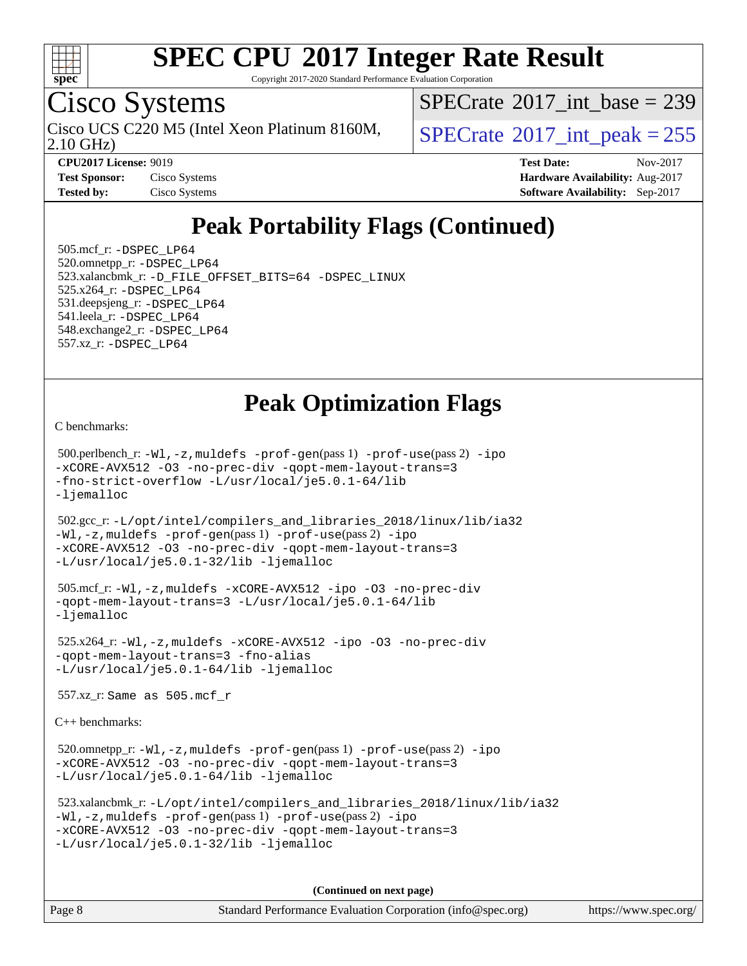

Copyright 2017-2020 Standard Performance Evaluation Corporation

### Cisco Systems

2.10 GHz) Cisco UCS C220 M5 (Intel Xeon Platinum 8160M,  $SPECrate^{\circ}2017\_int\_peak = 255$  $SPECrate^{\circ}2017\_int\_peak = 255$ 

 $SPECTate$ <sup>®</sup>[2017\\_int\\_base =](http://www.spec.org/auto/cpu2017/Docs/result-fields.html#SPECrate2017intbase) 239

**[Test Sponsor:](http://www.spec.org/auto/cpu2017/Docs/result-fields.html#TestSponsor)** Cisco Systems **Cisco Systems [Hardware Availability:](http://www.spec.org/auto/cpu2017/Docs/result-fields.html#HardwareAvailability)** Aug-2017

**[CPU2017 License:](http://www.spec.org/auto/cpu2017/Docs/result-fields.html#CPU2017License)** 9019 **[Test Date:](http://www.spec.org/auto/cpu2017/Docs/result-fields.html#TestDate)** Nov-2017 **[Tested by:](http://www.spec.org/auto/cpu2017/Docs/result-fields.html#Testedby)** Cisco Systems **[Software Availability:](http://www.spec.org/auto/cpu2017/Docs/result-fields.html#SoftwareAvailability)** Sep-2017

### **[Peak Portability Flags \(Continued\)](http://www.spec.org/auto/cpu2017/Docs/result-fields.html#PeakPortabilityFlags)**

 505.mcf\_r: [-DSPEC\\_LP64](http://www.spec.org/cpu2017/results/res2017q4/cpu2017-20171128-01142.flags.html#suite_peakPORTABILITY505_mcf_r_DSPEC_LP64) 520.omnetpp\_r: [-DSPEC\\_LP64](http://www.spec.org/cpu2017/results/res2017q4/cpu2017-20171128-01142.flags.html#suite_peakPORTABILITY520_omnetpp_r_DSPEC_LP64) 523.xalancbmk\_r: [-D\\_FILE\\_OFFSET\\_BITS=64](http://www.spec.org/cpu2017/results/res2017q4/cpu2017-20171128-01142.flags.html#user_peakPORTABILITY523_xalancbmk_r_file_offset_bits_64_5ae949a99b284ddf4e95728d47cb0843d81b2eb0e18bdfe74bbf0f61d0b064f4bda2f10ea5eb90e1dcab0e84dbc592acfc5018bc955c18609f94ddb8d550002c) [-DSPEC\\_LINUX](http://www.spec.org/cpu2017/results/res2017q4/cpu2017-20171128-01142.flags.html#b523.xalancbmk_r_peakCXXPORTABILITY_DSPEC_LINUX) 525.x264\_r: [-DSPEC\\_LP64](http://www.spec.org/cpu2017/results/res2017q4/cpu2017-20171128-01142.flags.html#suite_peakPORTABILITY525_x264_r_DSPEC_LP64) 531.deepsjeng\_r: [-DSPEC\\_LP64](http://www.spec.org/cpu2017/results/res2017q4/cpu2017-20171128-01142.flags.html#suite_peakPORTABILITY531_deepsjeng_r_DSPEC_LP64) 541.leela\_r: [-DSPEC\\_LP64](http://www.spec.org/cpu2017/results/res2017q4/cpu2017-20171128-01142.flags.html#suite_peakPORTABILITY541_leela_r_DSPEC_LP64) 548.exchange2\_r: [-DSPEC\\_LP64](http://www.spec.org/cpu2017/results/res2017q4/cpu2017-20171128-01142.flags.html#suite_peakPORTABILITY548_exchange2_r_DSPEC_LP64) 557.xz\_r: [-DSPEC\\_LP64](http://www.spec.org/cpu2017/results/res2017q4/cpu2017-20171128-01142.flags.html#suite_peakPORTABILITY557_xz_r_DSPEC_LP64)

### **[Peak Optimization Flags](http://www.spec.org/auto/cpu2017/Docs/result-fields.html#PeakOptimizationFlags)**

[C benchmarks](http://www.spec.org/auto/cpu2017/Docs/result-fields.html#Cbenchmarks):

 500.perlbench\_r: [-Wl,-z,muldefs](http://www.spec.org/cpu2017/results/res2017q4/cpu2017-20171128-01142.flags.html#user_peakEXTRA_LDFLAGS500_perlbench_r_link_force_multiple1_b4cbdb97b34bdee9ceefcfe54f4c8ea74255f0b02a4b23e853cdb0e18eb4525ac79b5a88067c842dd0ee6996c24547a27a4b99331201badda8798ef8a743f577) [-prof-gen](http://www.spec.org/cpu2017/results/res2017q4/cpu2017-20171128-01142.flags.html#user_peakPASS1_CFLAGSPASS1_LDFLAGS500_perlbench_r_prof_gen_5aa4926d6013ddb2a31985c654b3eb18169fc0c6952a63635c234f711e6e63dd76e94ad52365559451ec499a2cdb89e4dc58ba4c67ef54ca681ffbe1461d6b36)(pass 1) [-prof-use](http://www.spec.org/cpu2017/results/res2017q4/cpu2017-20171128-01142.flags.html#user_peakPASS2_CFLAGSPASS2_LDFLAGS500_perlbench_r_prof_use_1a21ceae95f36a2b53c25747139a6c16ca95bd9def2a207b4f0849963b97e94f5260e30a0c64f4bb623698870e679ca08317ef8150905d41bd88c6f78df73f19)(pass 2) [-ipo](http://www.spec.org/cpu2017/results/res2017q4/cpu2017-20171128-01142.flags.html#user_peakPASS1_COPTIMIZEPASS2_COPTIMIZE500_perlbench_r_f-ipo) [-xCORE-AVX512](http://www.spec.org/cpu2017/results/res2017q4/cpu2017-20171128-01142.flags.html#user_peakPASS2_COPTIMIZE500_perlbench_r_f-xCORE-AVX512) [-O3](http://www.spec.org/cpu2017/results/res2017q4/cpu2017-20171128-01142.flags.html#user_peakPASS1_COPTIMIZEPASS2_COPTIMIZE500_perlbench_r_f-O3) [-no-prec-div](http://www.spec.org/cpu2017/results/res2017q4/cpu2017-20171128-01142.flags.html#user_peakPASS1_COPTIMIZEPASS2_COPTIMIZE500_perlbench_r_f-no-prec-div) [-qopt-mem-layout-trans=3](http://www.spec.org/cpu2017/results/res2017q4/cpu2017-20171128-01142.flags.html#user_peakPASS1_COPTIMIZEPASS2_COPTIMIZE500_perlbench_r_f-qopt-mem-layout-trans_de80db37974c74b1f0e20d883f0b675c88c3b01e9d123adea9b28688d64333345fb62bc4a798493513fdb68f60282f9a726aa07f478b2f7113531aecce732043) [-fno-strict-overflow](http://www.spec.org/cpu2017/results/res2017q4/cpu2017-20171128-01142.flags.html#user_peakEXTRA_OPTIMIZE500_perlbench_r_f-fno-strict-overflow) [-L/usr/local/je5.0.1-64/lib](http://www.spec.org/cpu2017/results/res2017q4/cpu2017-20171128-01142.flags.html#user_peakEXTRA_LIBS500_perlbench_r_jemalloc_link_path64_4b10a636b7bce113509b17f3bd0d6226c5fb2346b9178c2d0232c14f04ab830f976640479e5c33dc2bcbbdad86ecfb6634cbbd4418746f06f368b512fced5394) [-ljemalloc](http://www.spec.org/cpu2017/results/res2017q4/cpu2017-20171128-01142.flags.html#user_peakEXTRA_LIBS500_perlbench_r_jemalloc_link_lib_d1249b907c500fa1c0672f44f562e3d0f79738ae9e3c4a9c376d49f265a04b9c99b167ecedbf6711b3085be911c67ff61f150a17b3472be731631ba4d0471706)

 502.gcc\_r: [-L/opt/intel/compilers\\_and\\_libraries\\_2018/linux/lib/ia32](http://www.spec.org/cpu2017/results/res2017q4/cpu2017-20171128-01142.flags.html#user_peakCCLD502_gcc_r_Enable-32bit-runtime_af243bdb1d79e4c7a4f720bf8275e627de2ecd461de63307bc14cef0633fde3cd7bb2facb32dcc8be9566045fb55d40ce2b72b725f73827aa7833441b71b9343) [-Wl,-z,muldefs](http://www.spec.org/cpu2017/results/res2017q4/cpu2017-20171128-01142.flags.html#user_peakEXTRA_LDFLAGS502_gcc_r_link_force_multiple1_b4cbdb97b34bdee9ceefcfe54f4c8ea74255f0b02a4b23e853cdb0e18eb4525ac79b5a88067c842dd0ee6996c24547a27a4b99331201badda8798ef8a743f577) [-prof-gen](http://www.spec.org/cpu2017/results/res2017q4/cpu2017-20171128-01142.flags.html#user_peakPASS1_CFLAGSPASS1_LDFLAGS502_gcc_r_prof_gen_5aa4926d6013ddb2a31985c654b3eb18169fc0c6952a63635c234f711e6e63dd76e94ad52365559451ec499a2cdb89e4dc58ba4c67ef54ca681ffbe1461d6b36)(pass 1) [-prof-use](http://www.spec.org/cpu2017/results/res2017q4/cpu2017-20171128-01142.flags.html#user_peakPASS2_CFLAGSPASS2_LDFLAGS502_gcc_r_prof_use_1a21ceae95f36a2b53c25747139a6c16ca95bd9def2a207b4f0849963b97e94f5260e30a0c64f4bb623698870e679ca08317ef8150905d41bd88c6f78df73f19)(pass 2) [-ipo](http://www.spec.org/cpu2017/results/res2017q4/cpu2017-20171128-01142.flags.html#user_peakPASS1_COPTIMIZEPASS2_COPTIMIZE502_gcc_r_f-ipo) [-xCORE-AVX512](http://www.spec.org/cpu2017/results/res2017q4/cpu2017-20171128-01142.flags.html#user_peakPASS2_COPTIMIZE502_gcc_r_f-xCORE-AVX512) [-O3](http://www.spec.org/cpu2017/results/res2017q4/cpu2017-20171128-01142.flags.html#user_peakPASS1_COPTIMIZEPASS2_COPTIMIZE502_gcc_r_f-O3) [-no-prec-div](http://www.spec.org/cpu2017/results/res2017q4/cpu2017-20171128-01142.flags.html#user_peakPASS1_COPTIMIZEPASS2_COPTIMIZE502_gcc_r_f-no-prec-div) [-qopt-mem-layout-trans=3](http://www.spec.org/cpu2017/results/res2017q4/cpu2017-20171128-01142.flags.html#user_peakPASS1_COPTIMIZEPASS2_COPTIMIZE502_gcc_r_f-qopt-mem-layout-trans_de80db37974c74b1f0e20d883f0b675c88c3b01e9d123adea9b28688d64333345fb62bc4a798493513fdb68f60282f9a726aa07f478b2f7113531aecce732043) [-L/usr/local/je5.0.1-32/lib](http://www.spec.org/cpu2017/results/res2017q4/cpu2017-20171128-01142.flags.html#user_peakEXTRA_LIBS502_gcc_r_jemalloc_link_path32_e29f22e8e6c17053bbc6a0971f5a9c01a601a06bb1a59df2084b77a2fe0a2995b64fd4256feaeea39eeba3aae142e96e2b2b0a28974019c0c0c88139a84f900a) [-ljemalloc](http://www.spec.org/cpu2017/results/res2017q4/cpu2017-20171128-01142.flags.html#user_peakEXTRA_LIBS502_gcc_r_jemalloc_link_lib_d1249b907c500fa1c0672f44f562e3d0f79738ae9e3c4a9c376d49f265a04b9c99b167ecedbf6711b3085be911c67ff61f150a17b3472be731631ba4d0471706)

```
 505.mcf_r: -Wl,-z,muldefs -xCORE-AVX512 -ipo -O3 -no-prec-div
-qopt-mem-layout-trans=3 -L/usr/local/je5.0.1-64/lib
-ljemalloc
```
 525.x264\_r: [-Wl,-z,muldefs](http://www.spec.org/cpu2017/results/res2017q4/cpu2017-20171128-01142.flags.html#user_peakEXTRA_LDFLAGS525_x264_r_link_force_multiple1_b4cbdb97b34bdee9ceefcfe54f4c8ea74255f0b02a4b23e853cdb0e18eb4525ac79b5a88067c842dd0ee6996c24547a27a4b99331201badda8798ef8a743f577) [-xCORE-AVX512](http://www.spec.org/cpu2017/results/res2017q4/cpu2017-20171128-01142.flags.html#user_peakCOPTIMIZE525_x264_r_f-xCORE-AVX512) [-ipo](http://www.spec.org/cpu2017/results/res2017q4/cpu2017-20171128-01142.flags.html#user_peakCOPTIMIZE525_x264_r_f-ipo) [-O3](http://www.spec.org/cpu2017/results/res2017q4/cpu2017-20171128-01142.flags.html#user_peakCOPTIMIZE525_x264_r_f-O3) [-no-prec-div](http://www.spec.org/cpu2017/results/res2017q4/cpu2017-20171128-01142.flags.html#user_peakCOPTIMIZE525_x264_r_f-no-prec-div) [-qopt-mem-layout-trans=3](http://www.spec.org/cpu2017/results/res2017q4/cpu2017-20171128-01142.flags.html#user_peakCOPTIMIZE525_x264_r_f-qopt-mem-layout-trans_de80db37974c74b1f0e20d883f0b675c88c3b01e9d123adea9b28688d64333345fb62bc4a798493513fdb68f60282f9a726aa07f478b2f7113531aecce732043) [-fno-alias](http://www.spec.org/cpu2017/results/res2017q4/cpu2017-20171128-01142.flags.html#user_peakEXTRA_OPTIMIZE525_x264_r_f-no-alias_77dbac10d91cbfe898fbf4a29d1b29b694089caa623bdd1baccc9957d4edbe8d106c0b357e2748a65b44fc9e83d78098bb898077f3fe92f9faf24f7bd4a07ed7) [-L/usr/local/je5.0.1-64/lib](http://www.spec.org/cpu2017/results/res2017q4/cpu2017-20171128-01142.flags.html#user_peakEXTRA_LIBS525_x264_r_jemalloc_link_path64_4b10a636b7bce113509b17f3bd0d6226c5fb2346b9178c2d0232c14f04ab830f976640479e5c33dc2bcbbdad86ecfb6634cbbd4418746f06f368b512fced5394) [-ljemalloc](http://www.spec.org/cpu2017/results/res2017q4/cpu2017-20171128-01142.flags.html#user_peakEXTRA_LIBS525_x264_r_jemalloc_link_lib_d1249b907c500fa1c0672f44f562e3d0f79738ae9e3c4a9c376d49f265a04b9c99b167ecedbf6711b3085be911c67ff61f150a17b3472be731631ba4d0471706)

557.xz\_r: Same as 505.mcf\_r

[C++ benchmarks:](http://www.spec.org/auto/cpu2017/Docs/result-fields.html#CXXbenchmarks)

520.omnetpp\_r: $-Wl$ ,-z,muldefs -prof-qen(pass 1) [-prof-use](http://www.spec.org/cpu2017/results/res2017q4/cpu2017-20171128-01142.flags.html#user_peakPASS2_CXXFLAGSPASS2_LDFLAGS520_omnetpp_r_prof_use_1a21ceae95f36a2b53c25747139a6c16ca95bd9def2a207b4f0849963b97e94f5260e30a0c64f4bb623698870e679ca08317ef8150905d41bd88c6f78df73f19)(pass 2) [-ipo](http://www.spec.org/cpu2017/results/res2017q4/cpu2017-20171128-01142.flags.html#user_peakPASS1_CXXOPTIMIZEPASS2_CXXOPTIMIZE520_omnetpp_r_f-ipo) [-xCORE-AVX512](http://www.spec.org/cpu2017/results/res2017q4/cpu2017-20171128-01142.flags.html#user_peakPASS2_CXXOPTIMIZE520_omnetpp_r_f-xCORE-AVX512) [-O3](http://www.spec.org/cpu2017/results/res2017q4/cpu2017-20171128-01142.flags.html#user_peakPASS1_CXXOPTIMIZEPASS2_CXXOPTIMIZE520_omnetpp_r_f-O3) [-no-prec-div](http://www.spec.org/cpu2017/results/res2017q4/cpu2017-20171128-01142.flags.html#user_peakPASS1_CXXOPTIMIZEPASS2_CXXOPTIMIZE520_omnetpp_r_f-no-prec-div) [-qopt-mem-layout-trans=3](http://www.spec.org/cpu2017/results/res2017q4/cpu2017-20171128-01142.flags.html#user_peakPASS1_CXXOPTIMIZEPASS2_CXXOPTIMIZE520_omnetpp_r_f-qopt-mem-layout-trans_de80db37974c74b1f0e20d883f0b675c88c3b01e9d123adea9b28688d64333345fb62bc4a798493513fdb68f60282f9a726aa07f478b2f7113531aecce732043) [-L/usr/local/je5.0.1-64/lib](http://www.spec.org/cpu2017/results/res2017q4/cpu2017-20171128-01142.flags.html#user_peakEXTRA_LIBS520_omnetpp_r_jemalloc_link_path64_4b10a636b7bce113509b17f3bd0d6226c5fb2346b9178c2d0232c14f04ab830f976640479e5c33dc2bcbbdad86ecfb6634cbbd4418746f06f368b512fced5394) [-ljemalloc](http://www.spec.org/cpu2017/results/res2017q4/cpu2017-20171128-01142.flags.html#user_peakEXTRA_LIBS520_omnetpp_r_jemalloc_link_lib_d1249b907c500fa1c0672f44f562e3d0f79738ae9e3c4a9c376d49f265a04b9c99b167ecedbf6711b3085be911c67ff61f150a17b3472be731631ba4d0471706)

```
 523.xalancbmk_r: -L/opt/intel/compilers_and_libraries_2018/linux/lib/ia32
-Wl,-z,muldefs -prof-gen(pass 1) -prof-use(pass 2) -ipo
-xCORE-AVX512 -O3 -no-prec-div -qopt-mem-layout-trans=3
-L/usr/local/je5.0.1-32/lib -ljemalloc
```
**(Continued on next page)**